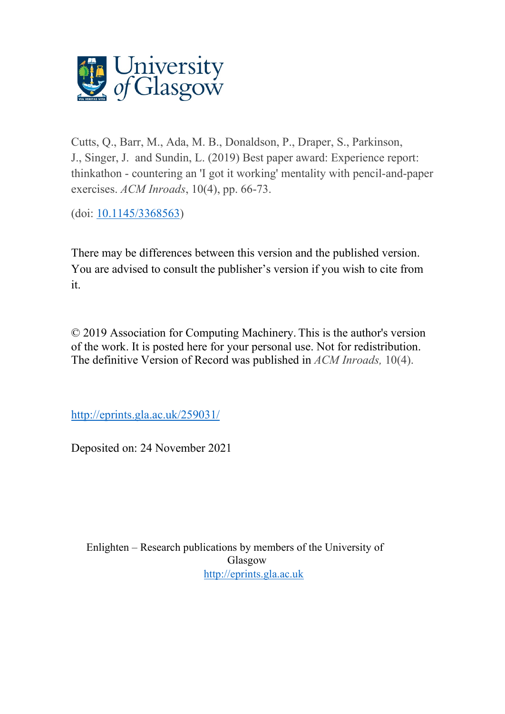

Cutts, Q., Barr, M., Ada, M. B., Donaldson, P., Draper, S., Parkinson, J., Singer, J. and Sundin, L. (2019) Best paper award: Experience report: thinkathon - countering an 'I got it working' mentality with pencil-and-paper exercises. *ACM Inroads*, 10(4), pp. 66-73.

(doi: [10.1145/3368563\)](http://dx.doi.org/10.1145/3368563)

There may be differences between this version and the published version. You are advised to consult the publisher's version if you wish to cite from it.

© 2019 Association for Computing Machinery. This is the author's version of the work. It is posted here for your personal use. Not for redistribution. The definitive Version of Record was published in *ACM Inroads,* 10(4).

<http://eprints.gla.ac.uk/259031/>

Deposited on: 24 November 2021

Enlighten – Research publications by members of the University of Glasgow [http://eprints.gla.ac.uk](http://eprints.gla.ac.uk/)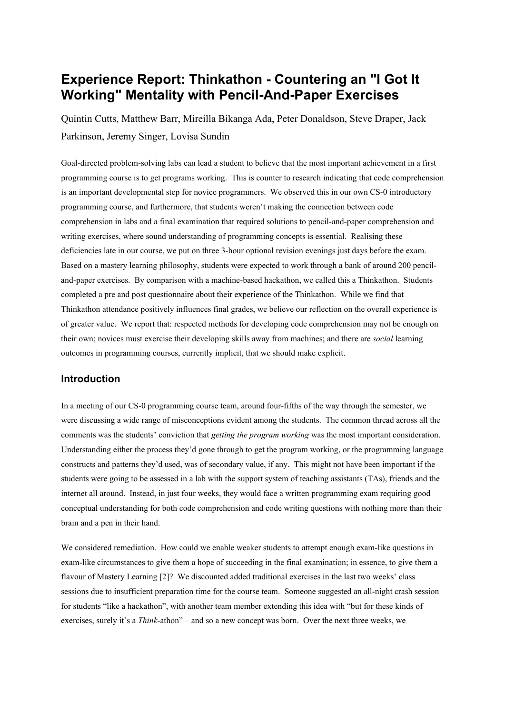# **Experience Report: Thinkathon - Countering an "I Got It Working" Mentality with Pencil-And-Paper Exercises**

Quintin Cutts, Matthew Barr, Mireilla Bikanga Ada, Peter Donaldson, Steve Draper, Jack Parkinson, Jeremy Singer, Lovisa Sundin

Goal-directed problem-solving labs can lead a student to believe that the most important achievement in a first programming course is to get programs working. This is counter to research indicating that code comprehension is an important developmental step for novice programmers. We observed this in our own CS-0 introductory programming course, and furthermore, that students weren't making the connection between code comprehension in labs and a final examination that required solutions to pencil-and-paper comprehension and writing exercises, where sound understanding of programming concepts is essential. Realising these deficiencies late in our course, we put on three 3-hour optional revision evenings just days before the exam. Based on a mastery learning philosophy, students were expected to work through a bank of around 200 penciland-paper exercises. By comparison with a machine-based hackathon, we called this a Thinkathon. Students completed a pre and post questionnaire about their experience of the Thinkathon. While we find that Thinkathon attendance positively influences final grades, we believe our reflection on the overall experience is of greater value. We report that: respected methods for developing code comprehension may not be enough on their own; novices must exercise their developing skills away from machines; and there are *social* learning outcomes in programming courses, currently implicit, that we should make explicit.

#### **Introduction**

In a meeting of our CS-0 programming course team, around four-fifths of the way through the semester, we were discussing a wide range of misconceptions evident among the students. The common thread across all the comments was the students' conviction that *getting the program working* was the most important consideration. Understanding either the process they'd gone through to get the program working, or the programming language constructs and patterns they'd used, was of secondary value, if any. This might not have been important if the students were going to be assessed in a lab with the support system of teaching assistants (TAs), friends and the internet all around. Instead, in just four weeks, they would face a written programming exam requiring good conceptual understanding for both code comprehension and code writing questions with nothing more than their brain and a pen in their hand.

We considered remediation. How could we enable weaker students to attempt enough exam-like questions in exam-like circumstances to give them a hope of succeeding in the final examination; in essence, to give them a flavour of Mastery Learning [2]? We discounted added traditional exercises in the last two weeks' class sessions due to insufficient preparation time for the course team. Someone suggested an all-night crash session for students "like a hackathon", with another team member extending this idea with "but for these kinds of exercises, surely it's a *Think*-athon" – and so a new concept was born. Over the next three weeks, we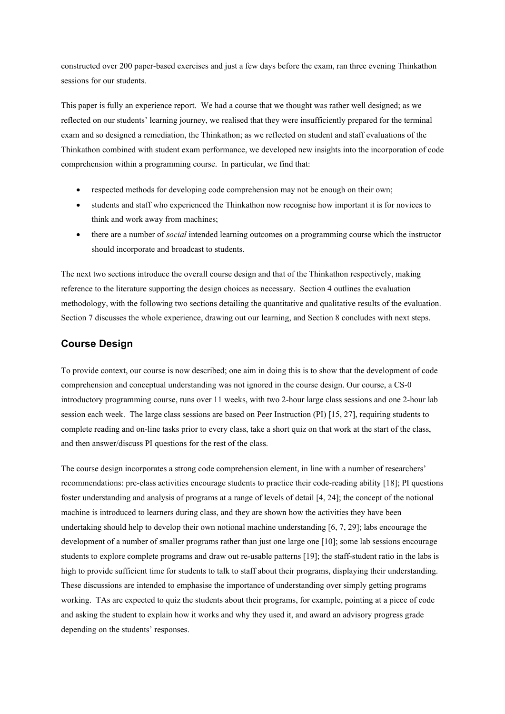constructed over 200 paper-based exercises and just a few days before the exam, ran three evening Thinkathon sessions for our students.

This paper is fully an experience report. We had a course that we thought was rather well designed; as we reflected on our students' learning journey, we realised that they were insufficiently prepared for the terminal exam and so designed a remediation, the Thinkathon; as we reflected on student and staff evaluations of the Thinkathon combined with student exam performance, we developed new insights into the incorporation of code comprehension within a programming course. In particular, we find that:

- respected methods for developing code comprehension may not be enough on their own;
- students and staff who experienced the Thinkathon now recognise how important it is for novices to think and work away from machines;
- there are a number of *social* intended learning outcomes on a programming course which the instructor should incorporate and broadcast to students.

The next two sections introduce the overall course design and that of the Thinkathon respectively, making reference to the literature supporting the design choices as necessary. Section 4 outlines the evaluation methodology, with the following two sections detailing the quantitative and qualitative results of the evaluation. Section 7 discusses the whole experience, drawing out our learning, and Section 8 concludes with next steps.

#### **Course Design**

To provide context, our course is now described; one aim in doing this is to show that the development of code comprehension and conceptual understanding was not ignored in the course design. Our course, a CS-0 introductory programming course, runs over 11 weeks, with two 2-hour large class sessions and one 2-hour lab session each week. The large class sessions are based on Peer Instruction (PI) [15, 27], requiring students to complete reading and on-line tasks prior to every class, take a short quiz on that work at the start of the class, and then answer/discuss PI questions for the rest of the class.

The course design incorporates a strong code comprehension element, in line with a number of researchers' recommendations: pre-class activities encourage students to practice their code-reading ability [18]; PI questions foster understanding and analysis of programs at a range of levels of detail [4, 24]; the concept of the notional machine is introduced to learners during class, and they are shown how the activities they have been undertaking should help to develop their own notional machine understanding [6, 7, 29]; labs encourage the development of a number of smaller programs rather than just one large one [10]; some lab sessions encourage students to explore complete programs and draw out re-usable patterns [19]; the staff-student ratio in the labs is high to provide sufficient time for students to talk to staff about their programs, displaying their understanding. These discussions are intended to emphasise the importance of understanding over simply getting programs working. TAs are expected to quiz the students about their programs, for example, pointing at a piece of code and asking the student to explain how it works and why they used it, and award an advisory progress grade depending on the students' responses.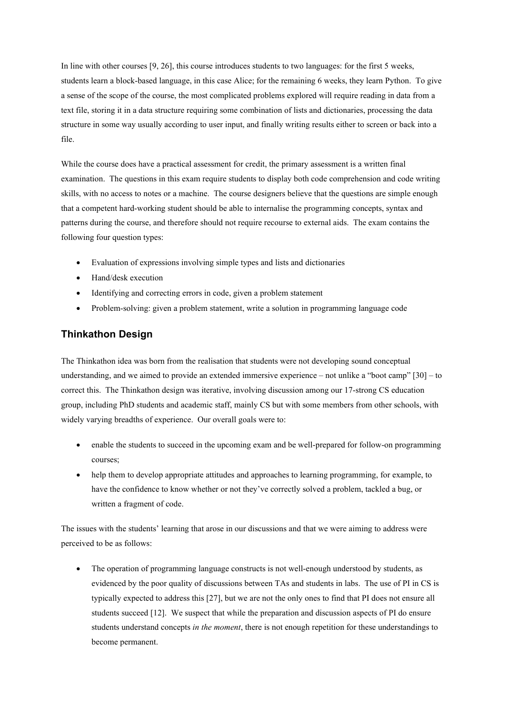In line with other courses [9, 26], this course introduces students to two languages: for the first 5 weeks, students learn a block-based language, in this case Alice; for the remaining 6 weeks, they learn Python. To give a sense of the scope of the course, the most complicated problems explored will require reading in data from a text file, storing it in a data structure requiring some combination of lists and dictionaries, processing the data structure in some way usually according to user input, and finally writing results either to screen or back into a file.

While the course does have a practical assessment for credit, the primary assessment is a written final examination. The questions in this exam require students to display both code comprehension and code writing skills, with no access to notes or a machine. The course designers believe that the questions are simple enough that a competent hard-working student should be able to internalise the programming concepts, syntax and patterns during the course, and therefore should not require recourse to external aids. The exam contains the following four question types:

- Evaluation of expressions involving simple types and lists and dictionaries
- Hand/desk execution
- Identifying and correcting errors in code, given a problem statement
- Problem-solving: given a problem statement, write a solution in programming language code

# **Thinkathon Design**

The Thinkathon idea was born from the realisation that students were not developing sound conceptual understanding, and we aimed to provide an extended immersive experience – not unlike a "boot camp" [30] – to correct this. The Thinkathon design was iterative, involving discussion among our 17-strong CS education group, including PhD students and academic staff, mainly CS but with some members from other schools, with widely varying breadths of experience. Our overall goals were to:

- enable the students to succeed in the upcoming exam and be well-prepared for follow-on programming courses;
- help them to develop appropriate attitudes and approaches to learning programming, for example, to have the confidence to know whether or not they've correctly solved a problem, tackled a bug, or written a fragment of code.

The issues with the students' learning that arose in our discussions and that we were aiming to address were perceived to be as follows:

• The operation of programming language constructs is not well-enough understood by students, as evidenced by the poor quality of discussions between TAs and students in labs. The use of PI in CS is typically expected to address this [27], but we are not the only ones to find that PI does not ensure all students succeed [12]. We suspect that while the preparation and discussion aspects of PI do ensure students understand concepts *in the moment*, there is not enough repetition for these understandings to become permanent.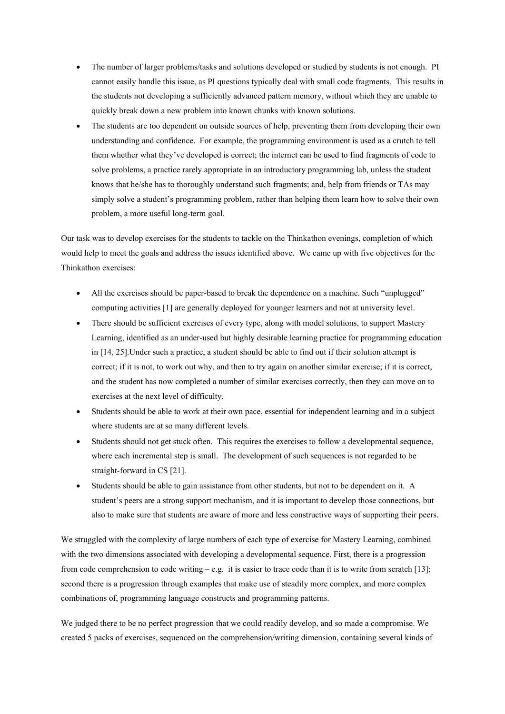- The number of larger problems/tasks and solutions developed or studied by students is not enough. PI cannot easily handle this issue, as PI questions typically deal with small code fragments. This results in the students not developing a sufficiently advanced pattern memory, without which they are unable to quickly break down a new problem into known chunks with known solutions.
- The students are too dependent on outside sources of help, preventing them from developing their own understanding and confidence. For example, the programming environment is used as a crutch to tell them whether what they've developed is correct; the internet can be used to find fragments of code to solve problems, a practice rarely appropriate in an introductory programming lab, unless the student knows that he/she has to thoroughly understand such fragments; and, help from friends or TAs may simply solve a student's programming problem, rather than helping them learn how to solve their own problem, a more useful long-term goal.

Our task was to develop exercises for the students to tackle on the Thinkathon evenings, completion of which would help to meet the goals and address the issues identified above. We came up with five objectives for the Thinkathon exercises:

- All the exercises should be paper-based to break the dependence on a machine. Such "unplugged" computing activities [1] are generally deployed for younger learners and not at university level.
- There should be sufficient exercises of every type, along with model solutions, to support Mastery Learning, identified as an under-used but highly desirable learning practice for programming education in [14, 25].Under such a practice, a student should be able to find out if their solution attempt is correct; if it is not, to work out why, and then to try again on another similar exercise; if it is correct, and the student has now completed a number of similar exercises correctly, then they can move on to exercises at the next level of difficulty.
- Students should be able to work at their own pace, essential for independent learning and in a subject where students are at so many different levels.
- Students should not get stuck often. This requires the exercises to follow a developmental sequence, where each incremental step is small. The development of such sequences is not regarded to be straight-forward in CS [21].
- Students should be able to gain assistance from other students, but not to be dependent on it. A student's peers are a strong support mechanism, and it is important to develop those connections, but also to make sure that students are aware of more and less constructive ways of supporting their peers.

We struggled with the complexity of large numbers of each type of exercise for Mastery Learning, combined with the two dimensions associated with developing a developmental sequence. First, there is a progression from code comprehension to code writing – e.g. it is easier to trace code than it is to write from scratch [13]; second there is a progression through examples that make use of steadily more complex, and more complex combinations of, programming language constructs and programming patterns.

We judged there to be no perfect progression that we could readily develop, and so made a compromise. We created 5 packs of exercises, sequenced on the comprehension/writing dimension, containing several kinds of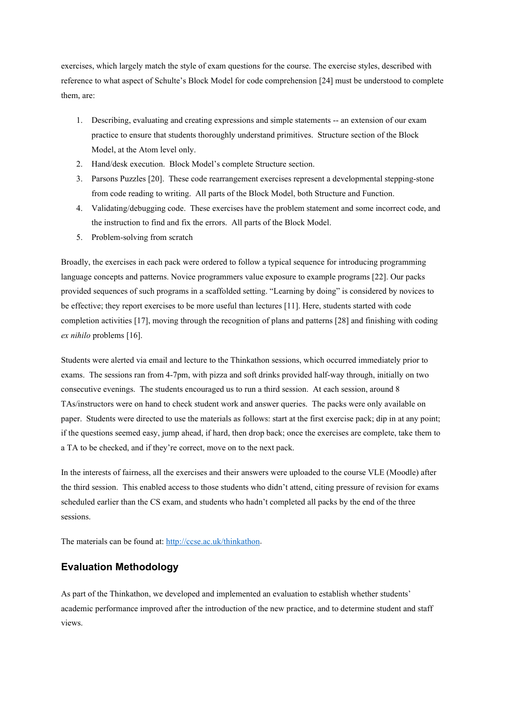exercises, which largely match the style of exam questions for the course. The exercise styles, described with reference to what aspect of Schulte's Block Model for code comprehension [24] must be understood to complete them, are:

- 1. Describing, evaluating and creating expressions and simple statements -- an extension of our exam practice to ensure that students thoroughly understand primitives. Structure section of the Block Model, at the Atom level only.
- 2. Hand/desk execution. Block Model's complete Structure section.
- 3. Parsons Puzzles [20]. These code rearrangement exercises represent a developmental stepping-stone from code reading to writing. All parts of the Block Model, both Structure and Function.
- 4. Validating/debugging code. These exercises have the problem statement and some incorrect code, and the instruction to find and fix the errors. All parts of the Block Model.
- 5. Problem-solving from scratch

Broadly, the exercises in each pack were ordered to follow a typical sequence for introducing programming language concepts and patterns. Novice programmers value exposure to example programs [22]. Our packs provided sequences of such programs in a scaffolded setting. "Learning by doing" is considered by novices to be effective; they report exercises to be more useful than lectures [11]. Here, students started with code completion activities [17], moving through the recognition of plans and patterns [28] and finishing with coding *ex nihilo* problems [16].

Students were alerted via email and lecture to the Thinkathon sessions, which occurred immediately prior to exams. The sessions ran from 4-7pm, with pizza and soft drinks provided half-way through, initially on two consecutive evenings. The students encouraged us to run a third session. At each session, around 8 TAs/instructors were on hand to check student work and answer queries. The packs were only available on paper. Students were directed to use the materials as follows: start at the first exercise pack; dip in at any point; if the questions seemed easy, jump ahead, if hard, then drop back; once the exercises are complete, take them to a TA to be checked, and if they're correct, move on to the next pack.

In the interests of fairness, all the exercises and their answers were uploaded to the course VLE (Moodle) after the third session. This enabled access to those students who didn't attend, citing pressure of revision for exams scheduled earlier than the CS exam, and students who hadn't completed all packs by the end of the three sessions.

The materials can be found at: [http://ccse.ac.uk/thinkathon.](http://ccse.ac.uk/thinkathon)

#### **Evaluation Methodology**

As part of the Thinkathon, we developed and implemented an evaluation to establish whether students' academic performance improved after the introduction of the new practice, and to determine student and staff views.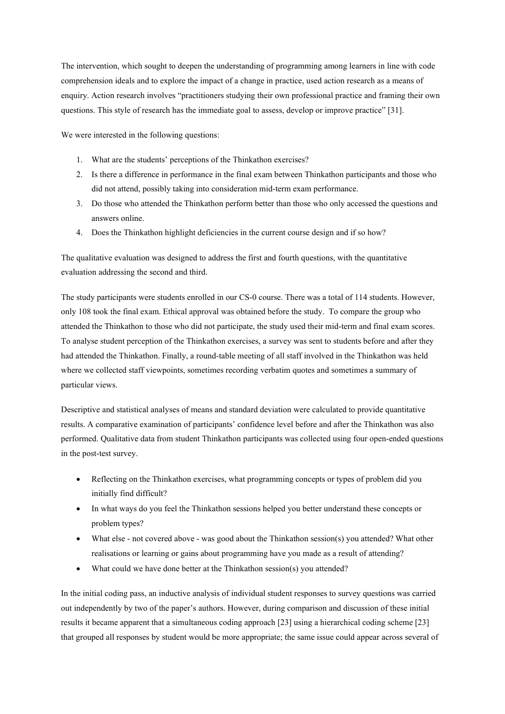The intervention, which sought to deepen the understanding of programming among learners in line with code comprehension ideals and to explore the impact of a change in practice, used action research as a means of enquiry. Action research involves "practitioners studying their own professional practice and framing their own questions. This style of research has the immediate goal to assess, develop or improve practice" [31].

We were interested in the following questions:

- 1. What are the students' perceptions of the Thinkathon exercises?
- 2. Is there a difference in performance in the final exam between Thinkathon participants and those who did not attend, possibly taking into consideration mid-term exam performance.
- 3. Do those who attended the Thinkathon perform better than those who only accessed the questions and answers online.
- 4. Does the Thinkathon highlight deficiencies in the current course design and if so how?

The qualitative evaluation was designed to address the first and fourth questions, with the quantitative evaluation addressing the second and third.

The study participants were students enrolled in our CS-0 course. There was a total of 114 students. However, only 108 took the final exam. Ethical approval was obtained before the study. To compare the group who attended the Thinkathon to those who did not participate, the study used their mid-term and final exam scores. To analyse student perception of the Thinkathon exercises, a survey was sent to students before and after they had attended the Thinkathon. Finally, a round-table meeting of all staff involved in the Thinkathon was held where we collected staff viewpoints, sometimes recording verbatim quotes and sometimes a summary of particular views.

Descriptive and statistical analyses of means and standard deviation were calculated to provide quantitative results. A comparative examination of participants' confidence level before and after the Thinkathon was also performed. Qualitative data from student Thinkathon participants was collected using four open-ended questions in the post-test survey.

- Reflecting on the Thinkathon exercises, what programming concepts or types of problem did you initially find difficult?
- In what ways do you feel the Thinkathon sessions helped you better understand these concepts or problem types?
- What else not covered above was good about the Thinkathon session(s) you attended? What other realisations or learning or gains about programming have you made as a result of attending?
- What could we have done better at the Thinkathon session(s) you attended?

In the initial coding pass, an inductive analysis of individual student responses to survey questions was carried out independently by two of the paper's authors. However, during comparison and discussion of these initial results it became apparent that a simultaneous coding approach [23] using a hierarchical coding scheme [23] that grouped all responses by student would be more appropriate; the same issue could appear across several of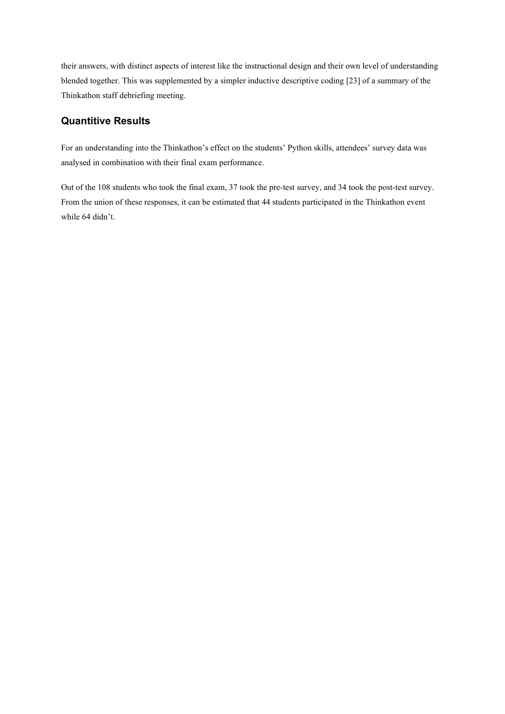their answers, with distinct aspects of interest like the instructional design and their own level of understanding blended together. This was supplemented by a simpler inductive descriptive coding [23] of a summary of the Thinkathon staff debriefing meeting.

# **Quantitive Results**

For an understanding into the Thinkathon's effect on the students' Python skills, attendees' survey data was analysed in combination with their final exam performance.

Out of the 108 students who took the final exam, 37 took the pre-test survey, and 34 took the post-test survey. From the union of these responses, it can be estimated that 44 students participated in the Thinkathon event while 64 didn't.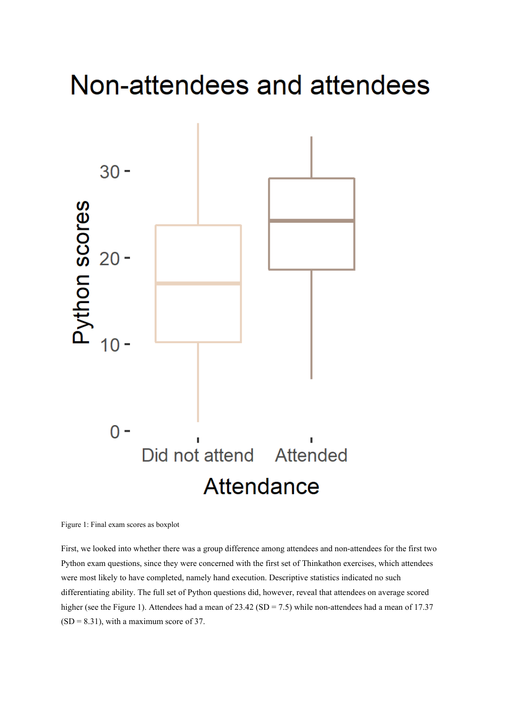# Non-attendees and attendees



Figure 1: Final exam scores as boxplot

First, we looked into whether there was a group difference among attendees and non-attendees for the first two Python exam questions, since they were concerned with the first set of Thinkathon exercises, which attendees were most likely to have completed, namely hand execution. Descriptive statistics indicated no such differentiating ability. The full set of Python questions did, however, reveal that attendees on average scored higher (see the Figure 1). Attendees had a mean of 23.42 (SD = 7.5) while non-attendees had a mean of 17.37  $(SD = 8.31)$ , with a maximum score of 37.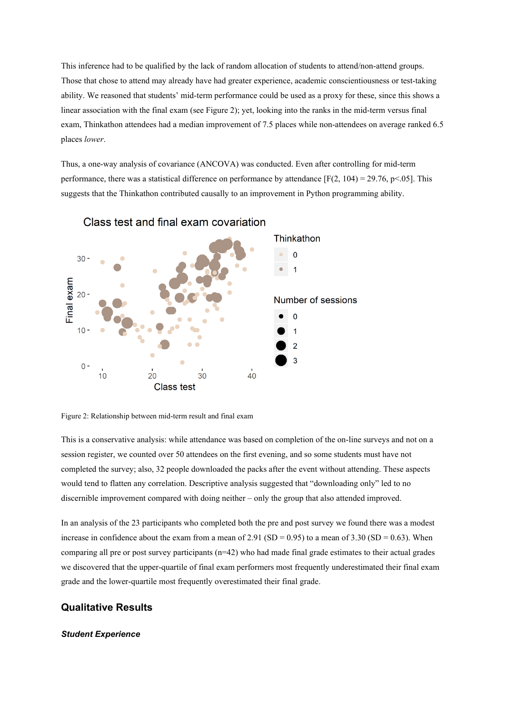This inference had to be qualified by the lack of random allocation of students to attend/non-attend groups. Those that chose to attend may already have had greater experience, academic conscientiousness or test-taking ability. We reasoned that students' mid-term performance could be used as a proxy for these, since this shows a linear association with the final exam (see Figure 2); yet, looking into the ranks in the mid-term versus final exam, Thinkathon attendees had a median improvement of 7.5 places while non-attendees on average ranked 6.5 places *lower*.

Thus, a one-way analysis of covariance (ANCOVA) was conducted. Even after controlling for mid-term performance, there was a statistical difference on performance by attendance  $[F(2, 104) = 29.76, p<.05]$ . This suggests that the Thinkathon contributed causally to an improvement in Python programming ability.



Class test and final exam covariation

Figure 2: Relationship between mid-term result and final exam

This is a conservative analysis: while attendance was based on completion of the on-line surveys and not on a session register, we counted over 50 attendees on the first evening, and so some students must have not completed the survey; also, 32 people downloaded the packs after the event without attending. These aspects would tend to flatten any correlation. Descriptive analysis suggested that "downloading only" led to no discernible improvement compared with doing neither – only the group that also attended improved.

In an analysis of the 23 participants who completed both the pre and post survey we found there was a modest increase in confidence about the exam from a mean of 2.91 (SD = 0.95) to a mean of 3.30 (SD = 0.63). When comparing all pre or post survey participants  $(n=42)$  who had made final grade estimates to their actual grades we discovered that the upper-quartile of final exam performers most frequently underestimated their final exam grade and the lower-quartile most frequently overestimated their final grade.

#### **Qualitative Results**

#### *Student Experience*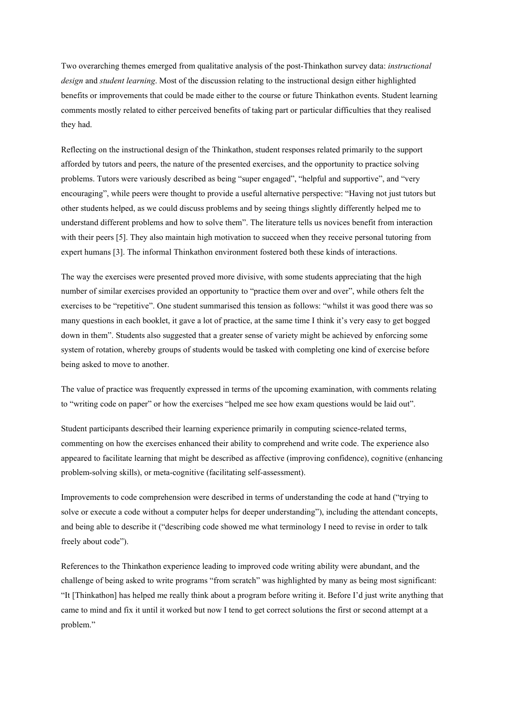Two overarching themes emerged from qualitative analysis of the post-Thinkathon survey data: *instructional design* and *student learning*. Most of the discussion relating to the instructional design either highlighted benefits or improvements that could be made either to the course or future Thinkathon events. Student learning comments mostly related to either perceived benefits of taking part or particular difficulties that they realised they had.

Reflecting on the instructional design of the Thinkathon, student responses related primarily to the support afforded by tutors and peers, the nature of the presented exercises, and the opportunity to practice solving problems. Tutors were variously described as being "super engaged", "helpful and supportive", and "very encouraging", while peers were thought to provide a useful alternative perspective: "Having not just tutors but other students helped, as we could discuss problems and by seeing things slightly differently helped me to understand different problems and how to solve them". The literature tells us novices benefit from interaction with their peers [5]. They also maintain high motivation to succeed when they receive personal tutoring from expert humans [3]. The informal Thinkathon environment fostered both these kinds of interactions.

The way the exercises were presented proved more divisive, with some students appreciating that the high number of similar exercises provided an opportunity to "practice them over and over", while others felt the exercises to be "repetitive". One student summarised this tension as follows: "whilst it was good there was so many questions in each booklet, it gave a lot of practice, at the same time I think it's very easy to get bogged down in them". Students also suggested that a greater sense of variety might be achieved by enforcing some system of rotation, whereby groups of students would be tasked with completing one kind of exercise before being asked to move to another.

The value of practice was frequently expressed in terms of the upcoming examination, with comments relating to "writing code on paper" or how the exercises "helped me see how exam questions would be laid out".

Student participants described their learning experience primarily in computing science-related terms, commenting on how the exercises enhanced their ability to comprehend and write code. The experience also appeared to facilitate learning that might be described as affective (improving confidence), cognitive (enhancing problem-solving skills), or meta-cognitive (facilitating self-assessment).

Improvements to code comprehension were described in terms of understanding the code at hand ("trying to solve or execute a code without a computer helps for deeper understanding"), including the attendant concepts, and being able to describe it ("describing code showed me what terminology I need to revise in order to talk freely about code").

References to the Thinkathon experience leading to improved code writing ability were abundant, and the challenge of being asked to write programs "from scratch" was highlighted by many as being most significant: "It [Thinkathon] has helped me really think about a program before writing it. Before I'd just write anything that came to mind and fix it until it worked but now I tend to get correct solutions the first or second attempt at a problem."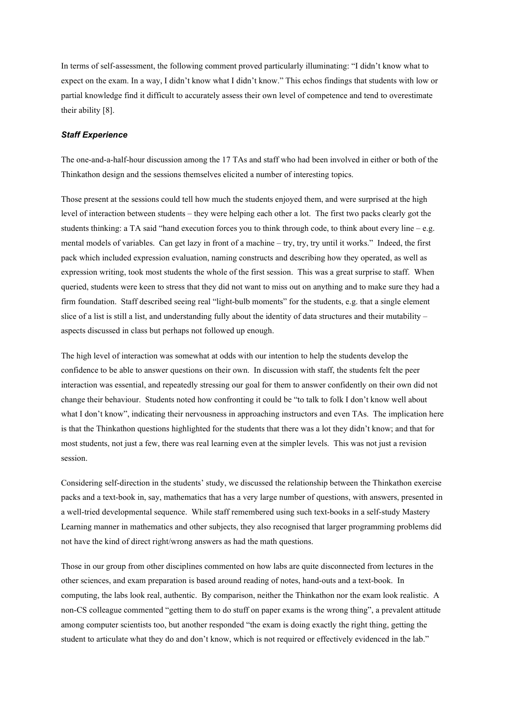In terms of self-assessment, the following comment proved particularly illuminating: "I didn't know what to expect on the exam. In a way, I didn't know what I didn't know." This echos findings that students with low or partial knowledge find it difficult to accurately assess their own level of competence and tend to overestimate their ability [8].

#### *Staff Experience*

The one-and-a-half-hour discussion among the 17 TAs and staff who had been involved in either or both of the Thinkathon design and the sessions themselves elicited a number of interesting topics.

Those present at the sessions could tell how much the students enjoyed them, and were surprised at the high level of interaction between students – they were helping each other a lot. The first two packs clearly got the students thinking: a TA said "hand execution forces you to think through code, to think about every line – e.g. mental models of variables. Can get lazy in front of a machine – try, try, try until it works." Indeed, the first pack which included expression evaluation, naming constructs and describing how they operated, as well as expression writing, took most students the whole of the first session. This was a great surprise to staff. When queried, students were keen to stress that they did not want to miss out on anything and to make sure they had a firm foundation. Staff described seeing real "light-bulb moments" for the students, e.g. that a single element slice of a list is still a list, and understanding fully about the identity of data structures and their mutability – aspects discussed in class but perhaps not followed up enough.

The high level of interaction was somewhat at odds with our intention to help the students develop the confidence to be able to answer questions on their own. In discussion with staff, the students felt the peer interaction was essential, and repeatedly stressing our goal for them to answer confidently on their own did not change their behaviour. Students noted how confronting it could be "to talk to folk I don't know well about what I don't know", indicating their nervousness in approaching instructors and even TAs. The implication here is that the Thinkathon questions highlighted for the students that there was a lot they didn't know; and that for most students, not just a few, there was real learning even at the simpler levels. This was not just a revision session.

Considering self-direction in the students' study, we discussed the relationship between the Thinkathon exercise packs and a text-book in, say, mathematics that has a very large number of questions, with answers, presented in a well-tried developmental sequence. While staff remembered using such text-books in a self-study Mastery Learning manner in mathematics and other subjects, they also recognised that larger programming problems did not have the kind of direct right/wrong answers as had the math questions.

Those in our group from other disciplines commented on how labs are quite disconnected from lectures in the other sciences, and exam preparation is based around reading of notes, hand-outs and a text-book. In computing, the labs look real, authentic. By comparison, neither the Thinkathon nor the exam look realistic. A non-CS colleague commented "getting them to do stuff on paper exams is the wrong thing", a prevalent attitude among computer scientists too, but another responded "the exam is doing exactly the right thing, getting the student to articulate what they do and don't know, which is not required or effectively evidenced in the lab."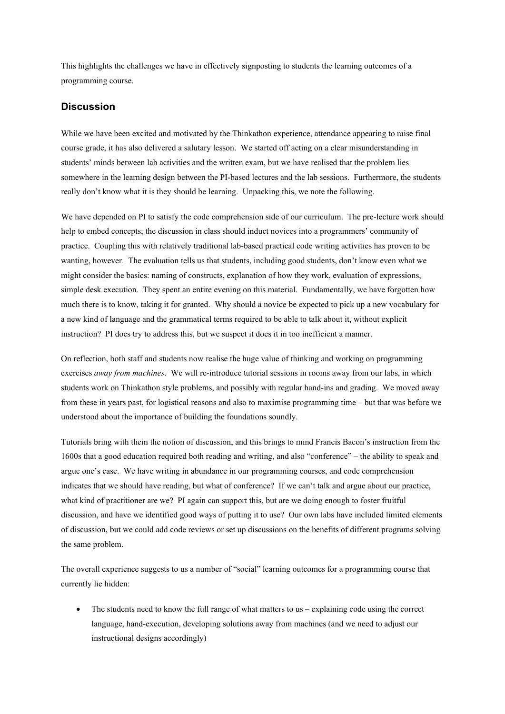This highlights the challenges we have in effectively signposting to students the learning outcomes of a programming course.

# **Discussion**

While we have been excited and motivated by the Thinkathon experience, attendance appearing to raise final course grade, it has also delivered a salutary lesson. We started off acting on a clear misunderstanding in students' minds between lab activities and the written exam, but we have realised that the problem lies somewhere in the learning design between the PI-based lectures and the lab sessions. Furthermore, the students really don't know what it is they should be learning. Unpacking this, we note the following.

We have depended on PI to satisfy the code comprehension side of our curriculum. The pre-lecture work should help to embed concepts; the discussion in class should induct novices into a programmers' community of practice. Coupling this with relatively traditional lab-based practical code writing activities has proven to be wanting, however. The evaluation tells us that students, including good students, don't know even what we might consider the basics: naming of constructs, explanation of how they work, evaluation of expressions, simple desk execution. They spent an entire evening on this material. Fundamentally, we have forgotten how much there is to know, taking it for granted. Why should a novice be expected to pick up a new vocabulary for a new kind of language and the grammatical terms required to be able to talk about it, without explicit instruction? PI does try to address this, but we suspect it does it in too inefficient a manner.

On reflection, both staff and students now realise the huge value of thinking and working on programming exercises *away from machines*. We will re-introduce tutorial sessions in rooms away from our labs, in which students work on Thinkathon style problems, and possibly with regular hand-ins and grading. We moved away from these in years past, for logistical reasons and also to maximise programming time – but that was before we understood about the importance of building the foundations soundly.

Tutorials bring with them the notion of discussion, and this brings to mind Francis Bacon's instruction from the 1600s that a good education required both reading and writing, and also "conference" – the ability to speak and argue one's case. We have writing in abundance in our programming courses, and code comprehension indicates that we should have reading, but what of conference? If we can't talk and argue about our practice, what kind of practitioner are we? PI again can support this, but are we doing enough to foster fruitful discussion, and have we identified good ways of putting it to use? Our own labs have included limited elements of discussion, but we could add code reviews or set up discussions on the benefits of different programs solving the same problem.

The overall experience suggests to us a number of "social" learning outcomes for a programming course that currently lie hidden:

The students need to know the full range of what matters to us  $-$  explaining code using the correct language, hand-execution, developing solutions away from machines (and we need to adjust our instructional designs accordingly)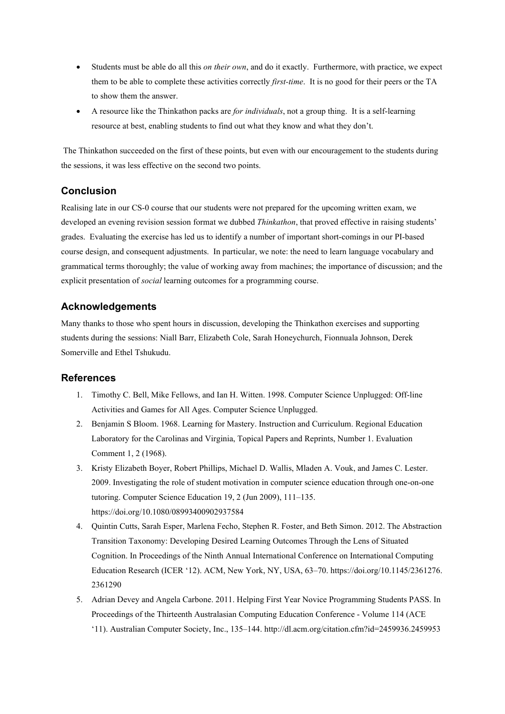- Students must be able do all this *on their own*, and do it exactly. Furthermore, with practice, we expect them to be able to complete these activities correctly *first-time*. It is no good for their peers or the TA to show them the answer.
- A resource like the Thinkathon packs are *for individuals*, not a group thing. It is a self-learning resource at best, enabling students to find out what they know and what they don't.

The Thinkathon succeeded on the first of these points, but even with our encouragement to the students during the sessions, it was less effective on the second two points.

# **Conclusion**

Realising late in our CS-0 course that our students were not prepared for the upcoming written exam, we developed an evening revision session format we dubbed *Thinkathon*, that proved effective in raising students' grades. Evaluating the exercise has led us to identify a number of important short-comings in our PI-based course design, and consequent adjustments. In particular, we note: the need to learn language vocabulary and grammatical terms thoroughly; the value of working away from machines; the importance of discussion; and the explicit presentation of *social* learning outcomes for a programming course.

# **Acknowledgements**

Many thanks to those who spent hours in discussion, developing the Thinkathon exercises and supporting students during the sessions: Niall Barr, Elizabeth Cole, Sarah Honeychurch, Fionnuala Johnson, Derek Somerville and Ethel Tshukudu.

# **References**

- 1. Timothy C. Bell, Mike Fellows, and Ian H. Witten. 1998. Computer Science Unplugged: Off-line Activities and Games for All Ages. Computer Science Unplugged.
- 2. Benjamin S Bloom. 1968. Learning for Mastery. Instruction and Curriculum. Regional Education Laboratory for the Carolinas and Virginia, Topical Papers and Reprints, Number 1. Evaluation Comment 1, 2 (1968).
- 3. Kristy Elizabeth Boyer, Robert Phillips, Michael D. Wallis, Mladen A. Vouk, and James C. Lester. 2009. Investigating the role of student motivation in computer science education through one-on-one tutoring. Computer Science Education 19, 2 (Jun 2009), 111–135. https://doi.org/10.1080/08993400902937584
- 4. Quintin Cutts, Sarah Esper, Marlena Fecho, Stephen R. Foster, and Beth Simon. 2012. The Abstraction Transition Taxonomy: Developing Desired Learning Outcomes Through the Lens of Situated Cognition. In Proceedings of the Ninth Annual International Conference on International Computing Education Research (ICER '12). ACM, New York, NY, USA, 63–70. https://doi.org/10.1145/2361276. 2361290
- 5. Adrian Devey and Angela Carbone. 2011. Helping First Year Novice Programming Students PASS. In Proceedings of the Thirteenth Australasian Computing Education Conference - Volume 114 (ACE '11). Australian Computer Society, Inc., 135–144. http://dl.acm.org/citation.cfm?id=2459936.2459953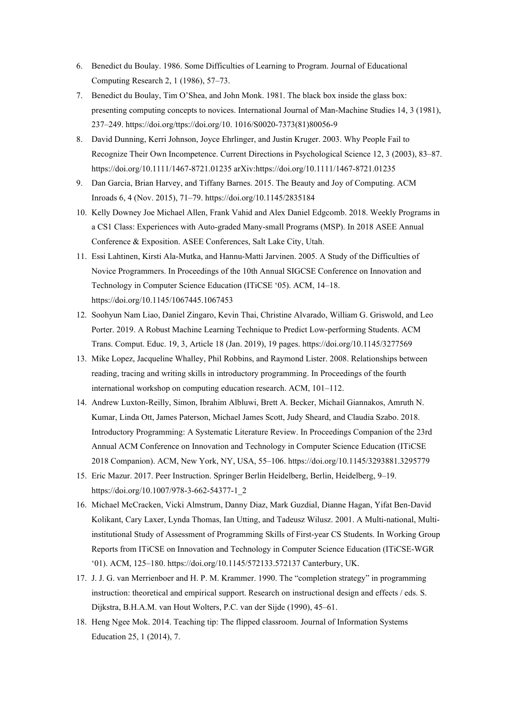- 6. Benedict du Boulay. 1986. Some Difficulties of Learning to Program. Journal of Educational Computing Research 2, 1 (1986), 57–73.
- 7. Benedict du Boulay, Tim O'Shea, and John Monk. 1981. The black box inside the glass box: presenting computing concepts to novices. International Journal of Man-Machine Studies 14, 3 (1981), 237–249. https://doi.org/ttps://doi.org/10. 1016/S0020-7373(81)80056-9
- 8. David Dunning, Kerri Johnson, Joyce Ehrlinger, and Justin Kruger. 2003. Why People Fail to Recognize Their Own Incompetence. Current Directions in Psychological Science 12, 3 (2003), 83–87. https://doi.org/10.1111/1467-8721.01235 arXiv:https://doi.org/10.1111/1467-8721.01235
- 9. Dan Garcia, Brian Harvey, and Tiffany Barnes. 2015. The Beauty and Joy of Computing. ACM Inroads 6, 4 (Nov. 2015), 71–79. https://doi.org/10.1145/2835184
- 10. Kelly Downey Joe Michael Allen, Frank Vahid and Alex Daniel Edgcomb. 2018. Weekly Programs in a CS1 Class: Experiences with Auto-graded Many-small Programs (MSP). In 2018 ASEE Annual Conference & Exposition. ASEE Conferences, Salt Lake City, Utah.
- 11. Essi Lahtinen, Kirsti Ala-Mutka, and Hannu-Matti Jarvinen. 2005. A Study of the Difficulties of Novice Programmers. In Proceedings of the 10th Annual SIGCSE Conference on Innovation and Technology in Computer Science Education (ITiCSE '05). ACM, 14–18. https://doi.org/10.1145/1067445.1067453
- 12. Soohyun Nam Liao, Daniel Zingaro, Kevin Thai, Christine Alvarado, William G. Griswold, and Leo Porter. 2019. A Robust Machine Learning Technique to Predict Low-performing Students. ACM Trans. Comput. Educ. 19, 3, Article 18 (Jan. 2019), 19 pages. https://doi.org/10.1145/3277569
- 13. Mike Lopez, Jacqueline Whalley, Phil Robbins, and Raymond Lister. 2008. Relationships between reading, tracing and writing skills in introductory programming. In Proceedings of the fourth international workshop on computing education research. ACM, 101–112.
- 14. Andrew Luxton-Reilly, Simon, Ibrahim Albluwi, Brett A. Becker, Michail Giannakos, Amruth N. Kumar, Linda Ott, James Paterson, Michael James Scott, Judy Sheard, and Claudia Szabo. 2018. Introductory Programming: A Systematic Literature Review. In Proceedings Companion of the 23rd Annual ACM Conference on Innovation and Technology in Computer Science Education (ITiCSE 2018 Companion). ACM, New York, NY, USA, 55–106. https://doi.org/10.1145/3293881.3295779
- 15. Eric Mazur. 2017. Peer Instruction. Springer Berlin Heidelberg, Berlin, Heidelberg, 9–19. https://doi.org/10.1007/978-3-662-54377-1\_2
- 16. Michael McCracken, Vicki Almstrum, Danny Diaz, Mark Guzdial, Dianne Hagan, Yifat Ben-David Kolikant, Cary Laxer, Lynda Thomas, Ian Utting, and Tadeusz Wilusz. 2001. A Multi-national, Multiinstitutional Study of Assessment of Programming Skills of First-year CS Students. In Working Group Reports from ITiCSE on Innovation and Technology in Computer Science Education (ITiCSE-WGR '01). ACM, 125–180. https://doi.org/10.1145/572133.572137 Canterbury, UK.
- 17. J. J. G. van Merrienboer and H. P. M. Krammer. 1990. The "completion strategy" in programming instruction: theoretical and empirical support. Research on instructional design and effects / eds. S. Dijkstra, B.H.A.M. van Hout Wolters, P.C. van der Sijde (1990), 45–61.
- 18. Heng Ngee Mok. 2014. Teaching tip: The flipped classroom. Journal of Information Systems Education 25, 1 (2014), 7.